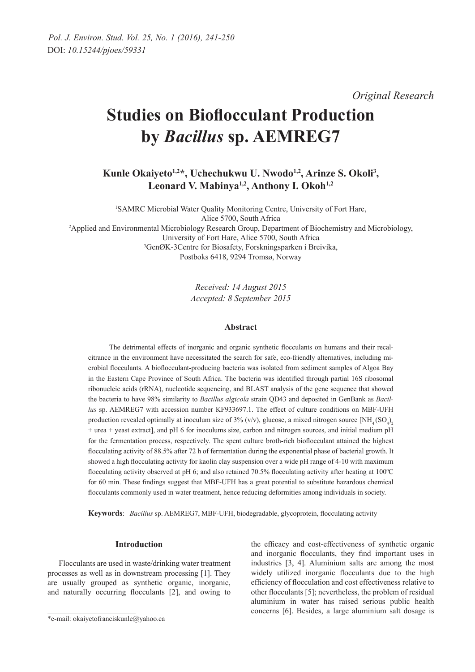*Original Research*

# **Studies on Bioflocculant Production by** *Bacillus* **sp. AEMREG7**

**Kunle Okaiyeto1,2\*, Uchechukwu U. Nwodo1,2, Arinze S. Okoli3 ,**  Leonard V. Mabinya<sup>1,2</sup>, Anthony I. Okoh<sup>1,2</sup>

1 SAMRC Microbial Water Quality Monitoring Centre, University of Fort Hare, Alice 5700, South Africa 2 Applied and Environmental Microbiology Research Group, Department of Biochemistry and Microbiology, University of Fort Hare, Alice 5700, South Africa 3 GenØK-3Centre for Biosafety, Forskningsparken i Breivika, Postboks 6418, 9294 Tromsø, Norway

> *Received: 14 August 2015 Accepted: 8 September 2015*

## **Abstract**

 The detrimental effects of inorganic and organic synthetic flocculants on humans and their recalcitrance in the environment have necessitated the search for safe, eco-friendly alternatives, including microbial flocculants. A bioflocculant-producing bacteria was isolated from sediment samples of Algoa Bay in the Eastern Cape Province of South Africa. The bacteria was identified through partial 16S ribosomal ribonucleic acids (rRNA), nucleotide sequencing, and BLAST analysis of the gene sequence that showed the bacteria to have 98% similarity to *Bacillus algicola* strain QD43 and deposited in GenBank as *Bacillus* sp. AEMREG7 with accession number KF933697.1. The effect of culture conditions on MBF-UFH production revealed optimally at inoculum size of 3% (v/v), glucose, a mixed nitrogen source  $[NH_4(SO_4)_2]$ + urea + yeast extract], and pH 6 for inoculums size, carbon and nitrogen sources, and initial medium pH for the fermentation process, respectively. The spent culture broth-rich bioflocculant attained the highest flocculating activity of 88.5% after 72 h of fermentation during the exponential phase of bacterial growth. It showed a high flocculating activity for kaolin clay suspension over a wide pH range of 4-10 with maximum flocculating activity observed at pH 6; and also retained 70.5% flocculating activity after heating at 100ºC for 60 min. These findings suggest that MBF-UFH has a great potential to substitute hazardous chemical flocculants commonly used in water treatment, hence reducing deformities among individuals in society.

**Keywords**: *Bacillus* sp. AEMREG7, MBF-UFH, biodegradable, glycoprotein, flocculating activity

#### **Introduction**

Flocculants are used in waste/drinking water treatment processes as well as in downstream processing [1]. They are usually grouped as synthetic organic, inorganic, and naturally occurring flocculants [2], and owing to the efficacy and cost-effectiveness of synthetic organic and inorganic flocculants, they find important uses in industries [3, 4]. Aluminium salts are among the most widely utilized inorganic flocculants due to the high efficiency of flocculation and cost effectiveness relative to other flocculants [5]; nevertheless, the problem of residual aluminium in water has raised serious public health concerns [6]. Besides, a large aluminium salt dosage is

<sup>\*</sup>e-mail: okaiyetofranciskunle@yahoo.ca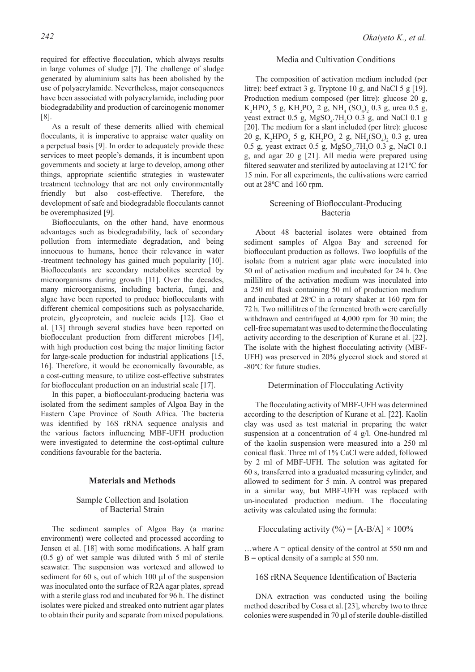required for effective flocculation, which always results

in large volumes of sludge [7]. The challenge of sludge generated by aluminium salts has been abolished by the use of polyacrylamide. Nevertheless, major consequences have been associated with polyacrylamide, including poor biodegradability and production of carcinogenic monomer [8].

As a result of these demerits allied with chemical flocculants, it is imperative to appraise water quality on a perpetual basis [9]. In order to adequately provide these services to meet people's demands, it is incumbent upon governments and society at large to develop, among other things, appropriate scientific strategies in wastewater treatment technology that are not only environmentally friendly but also cost-effective. Therefore, the development of safe and biodegradable flocculants cannot be overemphasized [9].

Bioflocculants, on the other hand, have enormous advantages such as biodegradability, lack of secondary pollution from intermediate degradation, and being innocuous to humans, hence their relevance in water -treatment technology has gained much popularity [10]. Bioflocculants are secondary metabolites secreted by microorganisms during growth [11]. Over the decades, many microorganisms, including bacteria, fungi, and algae have been reported to produce bioflocculants with different chemical compositions such as polysaccharide, protein, glycoprotein, and nucleic acids [12]. Gao et al. [13] through several studies have been reported on bioflocculant production from different microbes [14], with high production cost being the major limiting factor for large-scale production for industrial applications [15, 16]. Therefore, it would be economically favourable, as a cost-cutting measure, to utilize cost-effective substrates for bioflocculant production on an industrial scale [17].

In this paper, a bioflocculant-producing bacteria was isolated from the sediment samples of Algoa Bay in the Eastern Cape Province of South Africa. The bacteria was identified by 16S rRNA sequence analysis and the various factors influencing MBF-UFH production were investigated to determine the cost-optimal culture conditions favourable for the bacteria.

## **Materials and Methods**

## Sample Collection and Isolation of Bacterial Strain

The sediment samples of Algoa Bay (a marine environment) were collected and processed according to Jensen et al. [18] with some modifications. A half gram (0.5 g) of wet sample was diluted with 5 ml of sterile seawater. The suspension was vortexed and allowed to sediment for 60 s, out of which 100 µl of the suspension was inoculated onto the surface of R2A agar plates, spread with a sterile glass rod and incubated for 96 h. The distinct isolates were picked and streaked onto nutrient agar plates to obtain their purity and separate from mixed populations.

#### Media and Cultivation Conditions

The composition of activation medium included (per litre): beef extract 3 g, Tryptone 10 g, and NaCl 5 g [19]. Production medium composed (per litre): glucose 20 g,  $K_2 HPO_4$  5 g,  $KH_2PO_4$  2 g,  $NH_4$  (SO<sub>4</sub>)<sub>2</sub> 0.3 g, urea 0.5 g, yeast extract  $0.5$  g, MgSO<sub>4</sub>.7H<sub>2</sub>O 0.3 g, and NaCl 0.1 g [20]. The medium for a slant included (per litre): glucose 20 g,  $K_2 HPO_4$  5 g,  $KH_2PO_4$  2 g,  $NH_4(SO_4)_2$  0.3 g, urea 0.5 g, yeast extract 0.5 g,  $MgSO_4$ .7H<sub>2</sub>O 0.3 g, NaCl 0.1 g, and agar 20 g [21]. All media were prepared using filtered seawater and sterilized by autoclaving at 121ºC for 15 min. For all experiments, the cultivations were carried out at 28ºC and 160 rpm.

# Screening of Bioflocculant-Producing Bacteria

About 48 bacterial isolates were obtained from sediment samples of Algoa Bay and screened for bioflocculant production as follows. Two loopfulls of the isolate from a nutrient agar plate were inoculated into 50 ml of activation medium and incubated for 24 h. One millilitre of the activation medium was inoculated into a 250 ml flask containing 50 ml of production medium and incubated at  $28^{\circ}$ C in a rotary shaker at 160 rpm for 72 h. Two millilitres of the fermented broth were carefully withdrawn and centrifuged at 4,000 rpm for 30 min; the cell-free supernatant was used to determine the flocculating activity according to the description of Kurane et al. [22]. The isolate with the highest flocculating activity (MBF-UFH) was preserved in 20% glycerol stock and stored at -80ºC for future studies.

#### Determination of Flocculating Activity

The flocculating activity of MBF-UFH was determined according to the description of Kurane et al. [22]. Kaolin clay was used as test material in preparing the water suspension at a concentration of 4 g/l. One-hundred ml of the kaolin suspension were measured into a 250 ml conical flask. Three ml of 1% CaCl were added, followed by 2 ml of MBF-UFH. The solution was agitated for 60 s, transferred into a graduated measuring cylinder, and allowed to sediment for 5 min. A control was prepared in a similar way, but MBF-UFH was replaced with un-inoculated production medium. The flocculating activity was calculated using the formula:

Flocculating activity  $\left(\frac{\%}{\%}\right) = [A-B/A] \times 100\%$ 

...where  $A =$  optical density of the control at 550 nm and  $B =$  optical density of a sample at 550 nm.

## 16S rRNA Sequence Identification of Bacteria

DNA extraction was conducted using the boiling method described by Cosa et al. [23], whereby two to three colonies were suspended in 70 µl of sterile double-distilled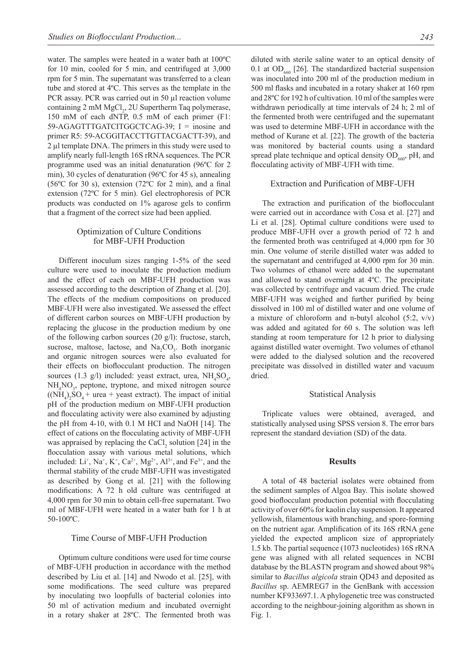water. The samples were heated in a water bath at 100ºC for 10 min, cooled for 5 min, and centrifuged at 3,000 rpm for 5 min. The supernatant was transferred to a clean tube and stored at 4ºC. This serves as the template in the PCR assay. PCR was carried out in 50 µl reaction volume containing 2 mM MgCl<sub>2</sub>, 2U Supertherm Taq polymerase, 150 mM of each dNTP, 0.5 mM of each primer (F1: 59-AGAGTTTGATCITGGCTCAG-39; I = inosine and primer R5: 59-ACGGITACCTTGTTACGACTT-39), and 2 µl template DNA. The primers in this study were used to amplify nearly full-length 16S rRNA sequences. The PCR programme used was an initial denaturation (96ºC for 2 min), 30 cycles of denaturation (96ºC for 45 s), annealing (56ºC for 30 s), extension (72ºC for 2 min), and a final extension (72ºC for 5 min). Gel electrophoresis of PCR products was conducted on 1% agarose gels to confirm that a fragment of the correct size had been applied.

## Optimization of Culture Conditions for MBF-UFH Production

Different inoculum sizes ranging 1-5% of the seed culture were used to inoculate the production medium and the effect of each on MBF-UFH production was assessed according to the description of Zhang et al. [20]. The effects of the medium compositions on produced MBF-UFH were also investigated. We assessed the effect of different carbon sources on MBF-UFH production by replacing the glucose in the production medium by one of the following carbon sources (20 g/l): fructose, starch, sucrose, maltose, lactose, and  $Na<sub>2</sub>CO<sub>3</sub>$ . Both inorganic and organic nitrogen sources were also evaluated for their effects on bioflocculant production. The nitrogen sources (1.3 g/l) included: yeast extract, urea,  $NH<sub>4</sub>SO<sub>4</sub>$ , NH<sub>4</sub>NO<sub>3</sub>, peptone, tryptone, and mixed nitrogen source  $((NH<sub>4</sub>)<sub>2</sub>SO<sub>4</sub> + urea + yeast extract)$ . The impact of initial pH of the production medium on MBF-UFH production and flocculating activity were also examined by adjusting the pH from 4-10, with 0.1 M HCI and NaOH [14]. The effect of cations on the flocculating activity of MBF-UFH was appraised by replacing the CaCl<sub>2</sub> solution [24] in the flocculation assay with various metal solutions, which included: Li<sup>+</sup>, Na<sup>+</sup>, K<sup>+</sup>, Ca<sup>2+</sup>, Mg<sup>2+</sup>, Al<sup>3+</sup>, and Fe<sup>3+</sup>, and the thermal stability of the crude MBF-UFH was investigated as described by Gong et al. [21] with the following modifications: A 72 h old culture was centrifuged at 4,000 rpm for 30 min to obtain cell-free supernatant. Two ml of MBF-UFH were heated in a water bath for 1 h at 50-100ºC.

## Time Course of MBF-UFH Production

Optimum culture conditions were used for time course of MBF-UFH production in accordance with the method described by Liu et al. [14] and Nwodo et al. [25], with some modifications. The seed culture was prepared by inoculating two loopfulls of bacterial colonies into 50 ml of activation medium and incubated overnight in a rotary shaker at 28ºC. The fermented broth was diluted with sterile saline water to an optical density of 0.1 at  $OD<sub>660</sub>$  [26]. The standardized bacterial suspension was inoculated into 200 ml of the production medium in 500 ml flasks and incubated in a rotary shaker at 160 rpm and 28ºC for 192 h of cultivation. 10 ml of the samples were withdrawn periodically at time intervals of 24 h; 2 ml of the fermented broth were centrifuged and the supernatant was used to determine MBF-UFH in accordance with the method of Kurane et al. [22]. The growth of the bacteria was monitored by bacterial counts using a standard spread plate technique and optical density  $OD<sub>660</sub>$ , pH, and flocculating activity of MBF-UFH with time.

#### Extraction and Purification of MBF-UFH

The extraction and purification of the bioflocculant were carried out in accordance with Cosa et al. [27] and Li et al. [28]. Optimal culture conditions were used to produce MBF-UFH over a growth period of 72 h and the fermented broth was centrifuged at 4,000 rpm for 30 min. One volume of sterile distilled water was added to the supernatant and centrifuged at 4,000 rpm for 30 min. Two volumes of ethanol were added to the supernatant and allowed to stand overnight at 4ºC. The precipitate was collected by centrifuge and vacuum dried. The crude MBF-UFH was weighed and further purified by being dissolved in 100 ml of distilled water and one volume of a mixture of chloroform and n-butyl alcohol  $(5:2, v/v)$ was added and agitated for 60 s. The solution was left standing at room temperature for 12 h prior to dialysing against distilled water overnight. Two volumes of ethanol were added to the dialysed solution and the recovered precipitate was dissolved in distilled water and vacuum dried.

#### Statistical Analysis

Triplicate values were obtained, averaged, and statistically analysed using SPSS version 8. The error bars represent the standard deviation (SD) of the data.

#### **Results**

A total of 48 bacterial isolates were obtained from the sediment samples of Algoa Bay. This isolate showed good bioflocculant production potential with flocculating activity of over 60% for kaolin clay suspension. It appeared yellowish, filamentous with branching, and spore-forming on the nutrient agar. Amplification of its 16S rRNA gene yielded the expected amplicon size of appropriately 1.5 kb. The partial sequence (1073 nucleotides) 16S rRNA gene was aligned with all related sequences in NCBI database by the BLASTN program and showed about 98% similar to *Bacillus algicola* strain QD43 and deposited as *Bacillus* sp. AEMREG7 in the GenBank with accession number KF933697.1. A phylogenetic tree was constructed according to the neighbour-joining algorithm as shown in Fig. 1.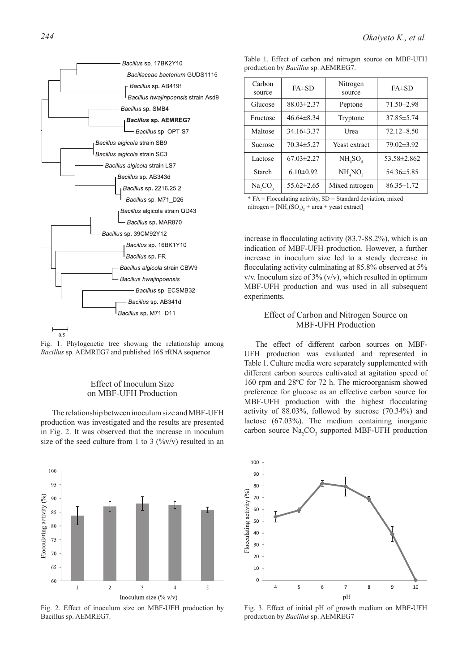

Fig. 1. Phylogenetic tree showing the relationship among *Bacillus* sp. AEMREG7 and published 16S rRNA sequence.

# Effect of Inoculum Size on MBF-UFH Production

The relationship between inoculum size and MBF-UFH production was investigated and the results are presented in Fig. 2. It was observed that the increase in inoculum size of the seed culture from 1 to 3  $(\frac{9}{9}v/v)$  resulted in an



Fig. 2. Effect of inoculum size on MBF-UFH production by Bacillus sp. AEMREG7.

|  |  |  |                                            |  | Table 1. Effect of carbon and nitrogen source on MBF-UFH |
|--|--|--|--------------------------------------------|--|----------------------------------------------------------|
|  |  |  | production by <i>Bacillus</i> sp. AEMREG7. |  |                                                          |

| Carbon<br>source | $FA\pm SD$       | Nitrogen<br>source | $FA\pm SD$       |  |
|------------------|------------------|--------------------|------------------|--|
| Glucose          | $88.03 \pm 2.37$ | Peptone            | $71.50 \pm 2.98$ |  |
| Fructose         | $46.64\pm8.34$   | Tryptone           | 37.85 ± 5.74     |  |
| Maltose          | $34.16\pm3.37$   | Urea               | $72.12 \pm 8.50$ |  |
| Sucrose          | $70.34 \pm 5.27$ | Yeast extract      | $79.02\pm3.92$   |  |
| Lactose          | $67.03 \pm 2.27$ | $NH_{4}SO_{4}$     | 53.58±2.862      |  |
| Starch           | $6.10 \pm 0.92$  | $NH_{4}NO_{3}$     | 54.36±5.85       |  |
| Na, CO,          | $55.62 \pm 2.65$ | Mixed nitrogen     | $86.35 \pm 1.72$ |  |

\* FA = Flocculating activity, SD = Standard deviation, mixed  $nitrogen = [NH<sub>4</sub>(SO<sub>4</sub>)<sub>2</sub> + urea + yeast extract]$ 

increase in flocculating activity (83.7-88.2%), which is an indication of MBF-UFH production. However, a further increase in inoculum size led to a steady decrease in flocculating activity culminating at 85.8% observed at 5% v/v. Inoculum size of  $3\%$  (v/v), which resulted in optimum MBF-UFH production and was used in all subsequent experiments.

# Effect of Carbon and Nitrogen Source on MBF-UFH Production

The effect of different carbon sources on MBF-UFH production was evaluated and represented in Table 1. Culture media were separately supplemented with different carbon sources cultivated at agitation speed of 160 rpm and 28ºC for 72 h. The microorganism showed preference for glucose as an effective carbon source for MBF-UFH production with the highest flocculating activity of 88.03%, followed by sucrose (70.34%) and lactose (67.03%). The medium containing inorganic carbon source  $\text{Na}_2\text{CO}_3$  supported MBF-UFH production



Fig. 3. Effect of initial pH of growth medium on MBF-UFH production by *Bacillus* sp. AEMREG7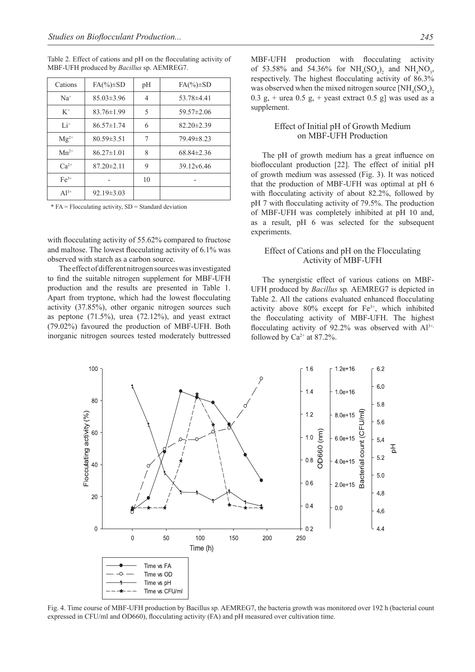| Cations   | $FA(\%)\pm SD$   | pH             | $FA(\%)\pm SD$   |
|-----------|------------------|----------------|------------------|
| $Na+$     | $85.03 \pm 3.96$ | $\overline{4}$ | $53.78\pm4.41$   |
| $K^+$     | $83.76 \pm 1.99$ | 5              | $59.57 \pm 2.06$ |
| $Li^+$    | $86.57 \pm 1.74$ | 6              | $82.20 \pm 2.39$ |
| $Mg^{2+}$ | $80.59 \pm 3.51$ | 7              | 79.49 ± 8.23     |
| $Mn^{2+}$ | $86.27 \pm 1.01$ | 8              | $68.84\pm2.36$   |
| $Ca^{2+}$ | $87.20 \pm 2.11$ | 9              | 39.12v6.46       |
| $Fe3+$    |                  | 10             |                  |
| $A^{13+}$ | $92.19 \pm 3.03$ |                |                  |

Table 2. Effect of cations and pH on the flocculating activity of MBF-UFH produced by *Bacillus* sp. AEMREG7.

 $*$  FA = Flocculating activity, SD = Standard deviation

with flocculating activity of 55.62% compared to fructose and maltose. The lowest flocculating activity of 6.1% was observed with starch as a carbon source.

The effect of different nitrogen sources was investigated to find the suitable nitrogen supplement for MBF-UFH production and the results are presented in Table 1. Apart from tryptone, which had the lowest flocculating activity (37.85%), other organic nitrogen sources such as peptone  $(71.5\%)$ , urea  $(72.12\%)$ , and yeast extract (79.02%) favoured the production of MBF-UFH. Both inorganic nitrogen sources tested moderately buttressed MBF-UFH production with flocculating activity of 53.58% and 54.36% for  $NH_4(SO_4)_2$  and  $NH_4NO_3$ , respectively. The highest flocculating activity of 86.3% was observed when the mixed nitrogen source  $\text{[NH}_4(\text{SO}_4)_2)$ 0.3 g, + urea 0.5 g, + yeast extract 0.5 g] was used as a supplement.

# Effect of Initial pH of Growth Medium on MBF-UFH Production

The pH of growth medium has a great influence on bioflocculant production [22]. The effect of initial pH of growth medium was assessed (Fig. 3). It was noticed that the production of MBF-UFH was optimal at pH 6 with flocculating activity of about 82.2%, followed by pH 7 with flocculating activity of 79.5%. The production of MBF-UFH was completely inhibited at pH 10 and, as a result, pH 6 was selected for the subsequent experiments.

## Effect of Cations and pH on the Flocculating Activity of MBF-UFH

The synergistic effect of various cations on MBF-UFH produced by *Bacillus* sp*.* AEMREG7 is depicted in Table 2. All the cations evaluated enhanced flocculating activity above  $80\%$  except for  $Fe^{3+}$ , which inhibited the flocculating activity of MBF-UFH. The highest flocculating activity of 92.2% was observed with  $Al^{3+}$ , followed by  $Ca^{2+}$  at 87.2%.



Fig. 4. Time course of MBF-UFH production by Bacillus sp. AEMREG7, the bacteria growth was monitored over 192 h (bacterial count expressed in CFU/ml and OD660), flocculating activity (FA) and pH measured over cultivation time.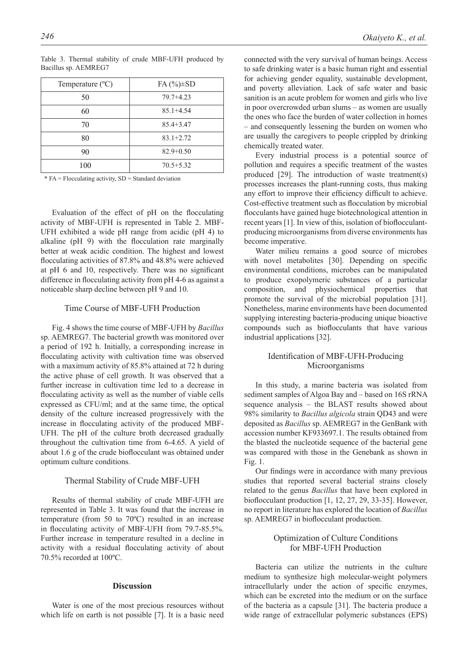| Temperature $(^{\circ}C)$ | $FA(%) \pm SD$ |
|---------------------------|----------------|
| 50                        | $79.7 + 4.23$  |
| 60                        | $85.1 + 4.54$  |
| 70                        | $85.4 + 3.47$  |
| 80                        | $83.1 + 2.72$  |
| 90                        | $82.9 + 0.50$  |
| 100                       | $70.5 + 5.32$  |

Table 3. Thermal stability of crude MBF-UFH produced by Bacillus sp. AEMREG7

 $*$  FA = Flocculating activity, SD = Standard deviation

Evaluation of the effect of pH on the flocculating activity of MBF-UFH is represented in Table 2. MBF-UFH exhibited a wide pH range from acidic (pH 4) to alkaline (pH 9) with the flocculation rate marginally better at weak acidic condition. The highest and lowest flocculating activities of 87.8% and 48.8% were achieved at pH 6 and 10, respectively. There was no significant difference in flocculating activity from pH 4-6 as against a noticeable sharp decline between pH 9 and 10.

## Time Course of MBF-UFH Production

Fig. 4 shows the time course of MBF-UFH by *Bacillus*  sp. AEMREG7. The bacterial growth was monitored over a period of 192 h. Initially, a corresponding increase in flocculating activity with cultivation time was observed with a maximum activity of 85.8% attained at 72 h during the active phase of cell growth. It was observed that a further increase in cultivation time led to a decrease in flocculating activity as well as the number of viable cells expressed as CFU/ml; and at the same time, the optical density of the culture increased progressively with the increase in flocculating activity of the produced MBF-UFH. The pH of the culture broth decreased gradually throughout the cultivation time from 6-4.65. A yield of about 1.6 g of the crude bioflocculant was obtained under optimum culture conditions.

## Thermal Stability of Crude MBF-UFH

Results of thermal stability of crude MBF-UFH are represented in Table 3. It was found that the increase in temperature (from 50 to 70ºC) resulted in an increase in flocculating activity of MBF-UFH from 79.7-85.5%. Further increase in temperature resulted in a decline in activity with a residual flocculating activity of about 70.5% recorded at 100ºC.

## **Discussion**

Water is one of the most precious resources without which life on earth is not possible [7]. It is a basic need connected with the very survival of human beings. Access to safe drinking water is a basic human right and essential for achieving gender equality, sustainable development, and poverty alleviation. Lack of safe water and basic sanition is an acute problem for women and girls who live in poor overcrowded urban slums – as women are usually the ones who face the burden of water collection in homes – and consequently lessening the burden on women who are usually the caregivers to people crippled by drinking chemically treated water.

Every industrial process is a potential source of pollution and requires a specific treatment of the wastes produced [29]. The introduction of waste treatment(s) processes increases the plant-running costs, thus making any effort to improve their efficiency difficult to achieve. Cost-effective treatment such as flocculation by microbial flocculants have gained huge biotechnological attention in recent years [1]. In view of this, isolation of bioflocculantproducing microorganisms from diverse environments has become imperative.

Water milieu remains a good source of microbes with novel metabolites [30]. Depending on specific environmental conditions, microbes can be manipulated to produce exopolymeric substances of a particular composition, and physiochemical properties that promote the survival of the microbial population [31]. Nonetheless, marine environments have been documented supplying interesting bacteria-producing unique bioactive compounds such as bioflocculants that have various industrial applications [32].

# Identification of MBF-UFH-Producing Microorganisms

In this study, a marine bacteria was isolated from sediment samples of Algoa Bay and – based on 16S rRNA sequence analysis – the BLAST results showed about 98% similarity to *Bacillus algicola* strain QD43 and were deposited as *Bacillus* sp. AEMREG7 in the GenBank with accession number KF933697.1. The results obtained from the blasted the nucleotide sequence of the bacterial gene was compared with those in the Genebank as shown in Fig. 1.

Our findings were in accordance with many previous studies that reported several bacterial strains closely related to the genus *Bacillus* that have been explored in bioflocculant production [1, 12, 27, 29, 33-35]. However, no report in literature has explored the location of *Bacillus* sp. AEMREG7 in bioflocculant production.

# Optimization of Culture Conditions for MBF-UFH Production

Bacteria can utilize the nutrients in the culture medium to synthesize high molecular-weight polymers intracellularly under the action of specific enzymes, which can be excreted into the medium or on the surface of the bacteria as a capsule [31]. The bacteria produce a wide range of extracellular polymeric substances (EPS)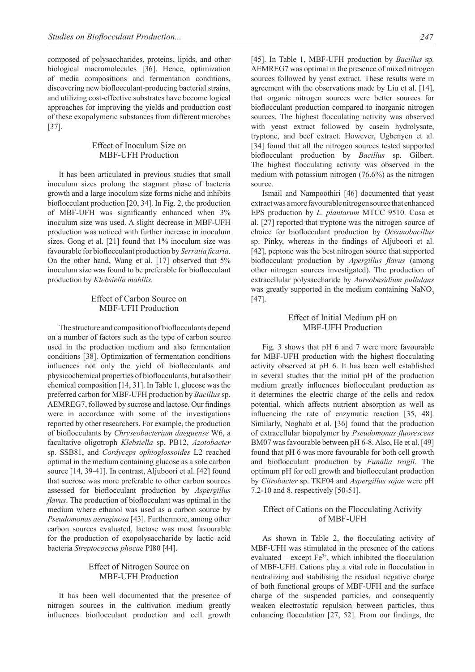composed of polysaccharides, proteins, lipids, and other biological macromolecules [36]. Hence, optimization of media compositions and fermentation conditions, discovering new bioflocculant-producing bacterial strains, and utilizing cost-effective substrates have become logical approaches for improving the yields and production cost of these exopolymeric substances from different microbes [37].

# Effect of Inoculum Size on MBF-UFH Production

It has been articulated in previous studies that small inoculum sizes prolong the stagnant phase of bacteria growth and a large inoculum size forms niche and inhibits bioflocculant production [20, 34]. In Fig. 2, the production of MBF-UFH was significantly enhanced when 3% inoculum size was used. A slight decrease in MBF-UFH production was noticed with further increase in inoculum sizes. Gong et al. [21] found that 1% inoculum size was favourable for bioflocculant production by *Serratia ficaria*. On the other hand, Wang et al. [17] observed that 5% inoculum size was found to be preferable for bioflocculant production by *Klebsiella mobilis.* 

## Effect of Carbon Source on MBF-UFH Production

The structure and composition of bioflocculants depend on a number of factors such as the type of carbon source used in the production medium and also fermentation conditions [38]. Optimization of fermentation conditions influences not only the yield of bioflocculants and physicochemical properties of bioflocculants, but also their chemical composition [14, 31]. In Table 1, glucose was the preferred carbon for MBF-UFH production by *Bacillus* sp. AEMREG7, followed by sucrose and lactose. Our findings were in accordance with some of the investigations reported by other researchers. For example, the production of bioflocculants by *Chryseobacterium daeguense* W6, a facultative oligotroph *Klebsiella* sp. PB12, *Azotobacter*  sp. SSB81, and *Cordyceps ophioglossoides* L2 reached optimal in the medium containing glucose as a sole carbon source [14, 39-41]. In contrast, Aljuboori et al. [42] found that sucrose was more preferable to other carbon sources assessed for bioflocculant production by *Aspergillus flavus*. The production of bioflocculant was optimal in the medium where ethanol was used as a carbon source by *Pseudomonas aeruginosa* [43]. Furthermore, among other carbon sources evaluated, lactose was most favourable for the production of exopolysaccharide by lactic acid bacteria *Streptococcus phocae* PI80 [44].

# Effect of Nitrogen Source on MBF-UFH Production

It has been well documented that the presence of nitrogen sources in the cultivation medium greatly influences bioflocculant production and cell growth

[45]. In Table 1, MBF-UFH production by *Bacillus* sp. AEMREG7 was optimal in the presence of mixed nitrogen sources followed by yeast extract. These results were in agreement with the observations made by Liu et al. [14], that organic nitrogen sources were better sources for bioflocculant production compared to inorganic nitrogen sources. The highest flocculating activity was observed with yeast extract followed by casein hydrolysate, tryptone, and beef extract. However, Ugbenyen et al. [34] found that all the nitrogen sources tested supported bioflocculant production by *Bacillus* sp. Gilbert. The highest flocculating activity was observed in the medium with potassium nitrogen (76.6%) as the nitrogen source.

Ismail and Nampoothiri [46] documented that yeast extract was a more favourable nitrogen source that enhanced EPS production by *L*. *plantarum* MTCC 9510. Cosa et al. [27] reported that tryptone was the nitrogen source of choice for bioflocculant production by *Oceanobacillus* sp. Pinky, whereas in the findings of Aljuboori et al. [42], peptone was the best nitrogen source that supported bioflocculant production by *Apergillus flavus* (among other nitrogen sources investigated). The production of extracellular polysaccharide by *Aureobasidium pullulans* was greatly supported in the medium containing NaNO<sub>3</sub> [47].

# Effect of Initial Medium pH on MBF-UFH Production

Fig. 3 shows that pH 6 and 7 were more favourable for MBF-UFH production with the highest flocculating activity observed at pH 6. It has been well established in several studies that the initial pH of the production medium greatly influences bioflocculant production as it determines the electric charge of the cells and redox potential, which affects nutrient absorption as well as influencing the rate of enzymatic reaction [35, 48]. Similarly, Noghabi et al. [36] found that the production of extracellular biopolymer by *Pseudomonas fluorescens* BM07 was favourable between pH 6-8. Also, He et al. [49] found that pH 6 was more favourable for both cell growth and bioflocculant production by *Funalia trogii*. The optimum pH for cell growth and bioflocculant production by *Citrobacter* sp. TKF04 and *Aspergillus sojae* were pH 7.2-10 and 8, respectively [50-51].

# Effect of Cations on the Flocculating Activity of MBF-UFH

As shown in Table 2, the flocculating activity of MBF-UFH was stimulated in the presence of the cations evaluated – except  $Fe<sup>3+</sup>$ , which inhibited the flocculation of MBF-UFH. Cations play a vital role in flocculation in neutralizing and stabilising the residual negative charge of both functional groups of MBF-UFH and the surface charge of the suspended particles, and consequently weaken electrostatic repulsion between particles, thus enhancing flocculation [27, 52]. From our findings, the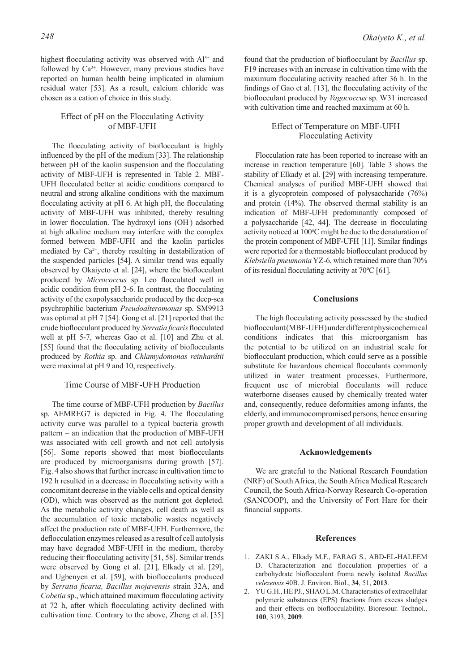highest flocculating activity was observed with  $Al^{3+}$  and followed by  $Ca^{2+}$ . However, many previous studies have reported on human health being implicated in alumium residual water [53]. As a result, calcium chloride was chosen as a cation of choice in this study.

# Effect of pH on the Flocculating Activity of MBF-UFH

The flocculating activity of bioflocculant is highly influenced by the pH of the medium [33]. The relationship between pH of the kaolin suspension and the flocculating activity of MBF-UFH is represented in Table 2. MBF-UFH flocculated better at acidic conditions compared to neutral and strong alkaline conditions with the maximum flocculating activity at pH 6. At high pH, the flocculating activity of MBF-UFH was inhibited, thereby resulting in lower flocculation. The hydroxyl ions (OH- ) adsorbed at high alkaline medium may interfere with the complex formed between MBF-UFH and the kaolin particles mediated by  $Ca^{2+}$ , thereby resulting in destabilization of the suspended particles [54]. A similar trend was equally observed by Okaiyeto et al. [24], where the bioflocculant produced by *Micrococcus* sp. Leo flocculated well in acidic condition from pH 2-6. In contrast, the flocculating activity of the exopolysaccharide produced by the deep-sea psychrophilic bacterium *Pseudoalteromonas* sp. SM9913 was optimal at pH 7 [54]. Gong et al. [21] reported that the crude bioflocculant produced by *Serratia ficaris* flocculated well at pH 5-7, whereas Gao et al. [10] and Zhu et al. [55] found that the flocculating activity of bioflocculants produced by *Rothia* sp. and *Chlamydomonas reinhardtii* were maximal at pH 9 and 10, respectively.

## Time Course of MBF-UFH Production

The time course of MBF-UFH production by *Bacillus*  sp. AEMREG7 is depicted in Fig. 4. The flocculating activity curve was parallel to a typical bacteria growth pattern – an indication that the production of MBF-UFH was associated with cell growth and not cell autolysis [56]. Some reports showed that most bioflocculants are produced by microorganisms during growth [57]. Fig. 4 also shows that further increase in cultivation time to 192 h resulted in a decrease in flocculating activity with a concomitant decrease in the viable cells and optical density (OD), which was observed as the nutrient got depleted. As the metabolic activity changes, cell death as well as the accumulation of toxic metabolic wastes negatively affect the production rate of MBF-UFH. Furthermore, the deflocculation enzymes released as a result of cell autolysis may have degraded MBF-UFH in the medium, thereby reducing their flocculating activity [51, 58]. Similar trends were observed by Gong et al. [21], Elkady et al. [29], and Ugbenyen et al. [59], with bioflocculants produced by *Serratia ficaria, Bacillus mojavensis* strain 32A, and *Cobetia* sp., which attained maximum flocculating activity at 72 h, after which flocculating activity declined with cultivation time. Contrary to the above, Zheng et al. [35]

found that the production of bioflocculant by *Bacillus* sp. F19 increases with an increase in cultivation time with the maximum flocculating activity reached after 36 h. In the findings of Gao et al. [13], the flocculating activity of the bioflocculant produced by *Vagococcus* sp. W31 increased

## Effect of Temperature on MBF-UFH Flocculating Activity

with cultivation time and reached maximum at 60 h.

Flocculation rate has been reported to increase with an increase in reaction temperature [60]. Table 3 shows the stability of Elkady et al. [29] with increasing temperature. Chemical analyses of purified MBF-UFH showed that it is a glycoprotein composed of polysaccharide (76%) and protein (14%). The observed thermal stability is an indication of MBF-UFH predominantly composed of a polysaccharide [42, 44]. The decrease in flocculating activity noticed at 100°C might be due to the denaturation of the protein component of MBF-UFH [11]. Similar findings were reported for a thermostable bioflocculant produced by *Klebsiella pneumonia* YZ-6, which retained more than 70% of its residual flocculating activity at 70ºC [61].

#### **Conclusions**

The high flocculating activity possessed by the studied bioflocculant (MBF-UFH) under different physicochemical conditions indicates that this microorganism has the potential to be utilized on an industrial scale for bioflocculant production, which could serve as a possible substitute for hazardous chemical flocculants commonly utilized in water treatment processes. Furthermore, frequent use of microbial flocculants will reduce waterborne diseases caused by chemically treated water and, consequently, reduce deformities among infants, the elderly, and immunocompromised persons, hence ensuring proper growth and development of all individuals.

#### **Acknowledgements**

We are grateful to the National Research Foundation (NRF) of South Africa, the South Africa Medical Research Council, the South Africa-Norway Research Co-operation (SANCOOP), and the University of Fort Hare for their financial supports.

#### **References**

- 1. ZAKI S.A., Elkady M.F., FARAG S., ABD-EL-HALEEM D. Characterization and flocculation properties of a carbohydrate bioflocculant froma newly isolated *Bacillus velezensis* 40B. J. Environ. Biol., **34**, 51, **2013**.
- 2. YU G.H., HE PJ., SHAO L.M. Characteristics of extracellular polymeric substances (EPS) fractions from excess sludges and their effects on bioflocculability. Bioresour. Technol., **100**, 3193, **2009**.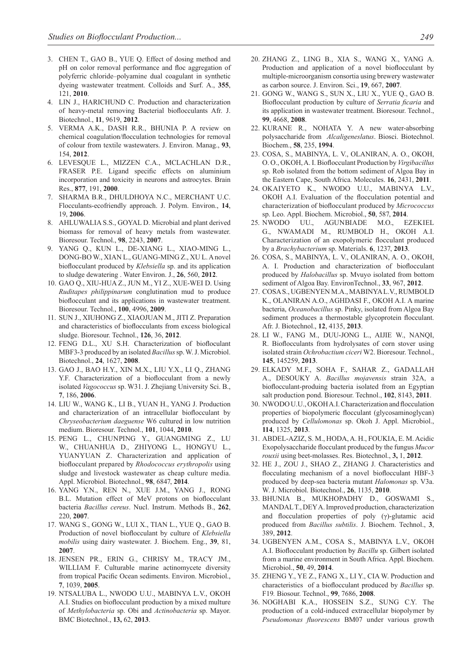- 3. CHEN T., GAO B., YUE Q. Effect of dosing method and pH on color removal performance and floc aggregation of polyferric chloride–polyamine dual coagulant in synthetic dyeing wastewater treatment. Colloids and Surf. A., **355**, 121, **2010**.
- 4. LIN J., HARICHUND C. Production and characterization of heavy-metal removing Bacterial bioflocculants Afr. J. Biotechnol., **11**, 9619, **2012**.
- 5. VERMA A.K., DASH R.R., BHUNIA P. A review on chemical coagulation/flocculation technologies for removal of colour from textile wastewaters. J. Environ. Manag., **93**, 154, **2012**.
- 6. LEVESQUE L., MIZZEN C.A., MCLACHLAN D.R., FRASER P.E. Ligand specific effects on aluminium incorporation and toxicity in neurons and astrocytes. Brain Res., **877**, 191, **2000**.
- 7. SHARMA B.R., DHULDHOYA N.C., MERCHANT U.C. Flocculants-ecofriendly approach. J. Polym. Environ., **14**, 19, **2006**.
- 8. AHLUWALIA S.S., GOYAL D. Microbial and plant derived biomass for removal of heavy metals from wastewater. Bioresour. Technol., **98**, 2243, **2007**.
- 9. YANG Q., KUN L., DE-XIANG L., XIAO-MING L., DONG-BO W., XIAN L., GUANG-MING Z., XU L. A novel bioflocculant produced by *Klebsiella* sp. and its application to sludge dewatering . Water Environ. J., **26**, 560, **2012**.
- 10. GAO Q., XIU-HUA Z., JUN M., YI Z., XUE-WEI D. Using *Ruditapes philippinarum* conglutination mud to produce bioflocculant and its applications in wastewater treatment. Bioresour. Technol., **100**, 4996, **2009**.
- 11. SUN J., XIUHONG Z., XIAOJUAN M., JITI Z. Preparation and characteristics of bioflocculants from excess biological sludge. Bioresour. Technol., **126**, 36, **2012**.
- 12. FENG D.L., XU S.H. Characterization of biofloculant MBF3-3 produced by an isolated *Bacillus* sp. W. J. Microbiol. Biotechnol., **24**, 1627, **2008**.
- 13. GAO J., BAO H.Y., XIN M.X., LIU Y.X., LI Q., ZHANG Y.F. Characterization of a bioflocculant from a newly isolated *Vagococcus* sp. W31. J. Zhejiang University Sci. B., **7**, 186, **2006**.
- 14. LIU W., WANG K., LI B., YUAN H., YANG J. Production and characterization of an intracellular bioflocculant by *Chryseobacterium daeguense* W6 cultured in low nutrition medium. Bioresour. Technol., **101**, 1044, **2010**.
- 15. PENG L., CHUNPING Y., GUANGMING Z., LU W., CHUANHUA D., ZHIYONG L., HONGYU L., YUANYUAN Z. Characterization and application of bioflocculant prepared by *Rhodococcus erythropolis* using sludge and livestock wastewater as cheap culture media. Appl. Microbiol. Biotechnol., **98**, 6847, **2014**.
- 16. YANG Y.N., REN N., XUE J.M., YANG J., RONG B.L. Mutation effect of MeV protons on bioflocculant bacteria *Bacillus cereus*. Nucl. Instrum. Methods B., **262**, 220, **2007**.
- 17. WANG S., GONG W., LUI X., TIAN L., YUE Q., GAO B. Production of novel bioflocculant by culture of *Klebsiella mobilis* using dairy wastewater. J. Biochem. Eng., **39**, 81, **2007**.
- 18. JENSEN PR., ERIN G., CHRISY M., TRACY JM., WILLIAM F. Culturable marine actinomycete diversity from tropical Pacific Ocean sediments. Environ. Microbiol., **7**, 1039, **2005**.
- 19. NTSALUBA L., NWODO U.U., MABINYA L.V., OKOH A.I. Studies on bioflocculant production by a mixed multure of *Methylobacteria* sp. Obi and *Actinobacteria* sp. Mayor. BMC Biotechnol., **13,** 62, **2013**.
- 20. ZHANG Z., LING B., XIA S., WANG X., YANG A. Production and application of a novel bioflocculant by multiple-microorganism consortia using brewery wastewater as carbon source. J. Environ. Sci., **19**, 667, **2007**.
- 21. GONG W., WANG S., SUN X., LIU X., YUE Q., GAO B. Bioflocculant production by culture of *Serratia ficaria* and its application in wastewater treatment. Bioresour. Technol., **99**, 4668, **2008**.
- 22. KURANE R., NOHATA Y. A new water-absorbing polysaccharide from *Alcaligeneslatus*. Biosci. Biotechnol. Biochem., **58**, 235, **1994**.
- 23. COSA, S., MABINYA, L. V., OLANIRAN, A. O., OKOH, O. O., OKOH, A. I. Bioflocculant Production by *Virgibacillus* sp. Rob isolated from the bottom sediment of Algoa Bay in the Eastern Cape, South Africa. Molecules. **16**, 2431, **2011**.
- 24. OKAIYETO K., NWODO U.U., MABINYA L.V., OKOH A.I. Evaluation of the flocculation potential and characterization of bioflocculant produced by *Micrococcus*  sp. Leo. Appl. Biochem. Microbiol., **50**, 587, **2014**.
- 25. NWODO UU., AGUNBIADE M.O., EZEKIEL G., NWAMADI M., RUMBOLD H., OKOH A.I. Characterization of an exopolymeric flocculant produced by a *Brachybacterium* sp. Materials. **6**, 1237, **2013**.
- 26. COSA, S., MABINYA, L. V., OLANIRAN, A. O., OKOH, A. I. Production and characterization of bioflocculant produced by *Halobacillus* sp. Mvuyo isolated from bottom sediment of Algoa Bay. EnvironTechnol., **33**, 967, **2012**.
- 27. COSA S., UGBENYEN M.A., MABINYA L.V., RUMBOLD K., OLANIRAN A.O., AGHDASI F., OKOH A.I. A marine bacteria, *Oceanobacillus* sp. Pinky, isolated from Algoa Bay sediment produces a thermostable glycoprotein flocculant. Afr. J. Biotechnol., **12**, 4135, **2013**.
- 28. LI W., FANG M., DUU-JONG L., AIJIE W., NANQI, R. Bioflocculants from hydrolysates of corn stover using isolated strain *Ochrobactium ciceri* W2. Bioresour. Technol., **145**, 145259, **2013**.
- 29. ELKADY M.F., SOHA F., SAHAR Z., GADALLAH A., DESOUKY A. *Bacillus mojavensis* strain 32A, a bioflocculant-produing bacteria isolated from an Egyptian salt production pond. Bioresour. Technol., **102**, 8143, **2011**.
- 30. NWODO U.U., OKOH A.I. Characterization and flocculation properties of biopolymeric flocculant (glycosaminoglycan) produced by *Cellulomonas* sp. Okoh J. Appl. Microbiol., **114**, 1325, **2013**.
- 31. ABDEL-AZIZ, S. M., HODA, A. H., FOUKIA, E. M. Acidic Exopolysaccharide flocculant produced by the fungus *Mucor rouxii* using beet-molasses. Res. Biotechnol., **3,** 1, **2012**.
- 32. HE J., ZOU J., SHAO Z., ZHANG J. Characteristics and flocculating mechanism of a novel bioflocculant HBF-3 produced by deep-sea bacteria mutant *Halomonas* sp. V3a. W. J. Microbiol. Biotechnol., **26**, 1135, **2010**.
- 33. BHUNIA B., MUKHOPADHY D., GOSWAMI S., MANDAL T., DEY A. Improved production, characterization and flocculation properties of poly (γ)-glutamic acid produced from *Bacillus subtilis*. J. Biochem. Technol., **3**, 389, **2012**.
- 34. UGBENYEN A.M., COSA S., MABINYA L.V., OKOH A.I. Bioflocculant production by *Bacillu* sp. Gilbert isolated from a marine environment in South Africa. Appl. Biochem. Microbiol., **50**, 49, **2014**.
- 35. ZHENG Y., YE Z., FANG X., LI Y., CIA W. Production and characteristics of a bioflocculant produced by *Bacillus* sp. F19*.* Biosour. Technol., **99**, 7686, **2008**.
- 36. NOGHABI K.A., HOSSEIN S.Z., SUNG C.Y. The production of a cold-induced extracellular biopolymer by *Pseudomonas fluorescens* BM07 under various growth